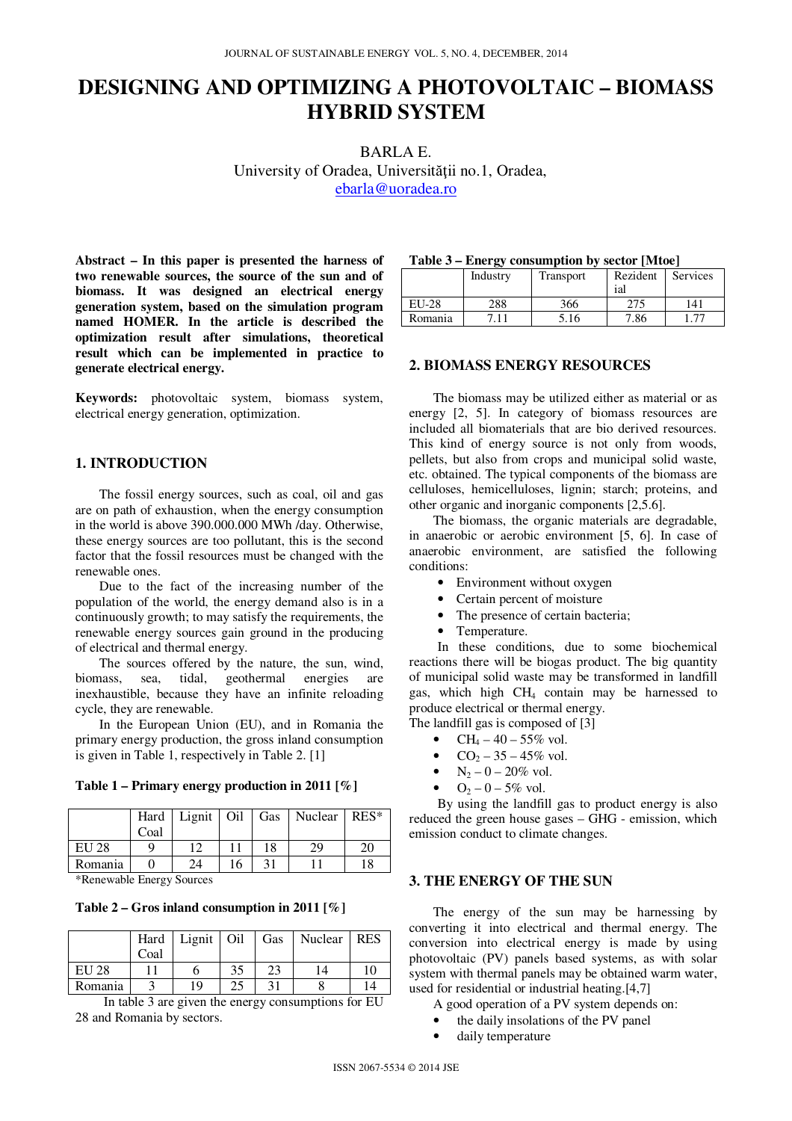# **DESIGNING AND OPTIMIZING A PHOTOVOLTAIC – BIOMASS HYBRID SYSTEM**

BARLA E. University of Oradea, Universităţii no.1, Oradea, ebarla@uoradea.ro

**Abstract – In this paper is presented the harness of two renewable sources, the source of the sun and of biomass. It was designed an electrical energy generation system, based on the simulation program named HOMER. In the article is described the optimization result after simulations, theoretical result which can be implemented in practice to generate electrical energy.** 

**Keywords:** photovoltaic system, biomass system, electrical energy generation, optimization.

## **1. INTRODUCTION**

The fossil energy sources, such as coal, oil and gas are on path of exhaustion, when the energy consumption in the world is above 390.000.000 MWh /day. Otherwise, these energy sources are too pollutant, this is the second factor that the fossil resources must be changed with the renewable ones.

Due to the fact of the increasing number of the population of the world, the energy demand also is in a continuously growth; to may satisfy the requirements, the renewable energy sources gain ground in the producing of electrical and thermal energy.

The sources offered by the nature, the sun, wind, biomass, sea, tidal, geothermal energies are inexhaustible, because they have an infinite reloading cycle, they are renewable.

In the European Union (EU), and in Romania the primary energy production, the gross inland consumption is given in Table 1, respectively in Table 2. [1]

|  | Table 1 – Primary energy production in 2011 [%] |  |  |
|--|-------------------------------------------------|--|--|
|  |                                                 |  |  |

|         |      | Hard   Lignit   Oil   Gas |    |    | Nuclear | $RES*$ |
|---------|------|---------------------------|----|----|---------|--------|
|         | Coal |                           |    |    |         |        |
| EU 28   |      |                           |    | 18 | 29      | 20     |
| Romania |      | 24                        | 16 | 31 |         |        |

\*Renewable Energy Sources

**Table 2 – Gros inland consumption in 2011 [%]** 

|         | Hard | Lignit $\vert$ Oil |    | Gas | Nuclear | <b>RES</b> |
|---------|------|--------------------|----|-----|---------|------------|
|         | Coal |                    |    |     |         |            |
| EU 28   |      |                    | 35 | 23  |         | 10         |
| Romania |      | 19                 | 25 |     |         |            |

In table 3 are given the energy consumptions for EU 28 and Romania by sectors.

| Table 3 – Energy consumption by sector [Mtoe] |  |  |  |
|-----------------------------------------------|--|--|--|
|-----------------------------------------------|--|--|--|

|              | $- \,$   |           |                 |          |
|--------------|----------|-----------|-----------------|----------|
|              | Industry | Transport | Rezident<br>ial | Services |
| <b>EU-28</b> | 288      | 366       |                 | 141      |
| Romania      |          | 5.16      | 7.86            |          |

### **2. BIOMASS ENERGY RESOURCES**

The biomass may be utilized either as material or as energy [2, 5]. In category of biomass resources are included all biomaterials that are bio derived resources. This kind of energy source is not only from woods, pellets, but also from crops and municipal solid waste, etc. obtained. The typical components of the biomass are celluloses, hemicelluloses, lignin; starch; proteins, and other organic and inorganic components [2,5.6].

The biomass, the organic materials are degradable, in anaerobic or aerobic environment [5, 6]. In case of anaerobic environment, are satisfied the following conditions:

- Environment without oxygen
- Certain percent of moisture
- The presence of certain bacteria;
- Temperature.

 In these conditions, due to some biochemical reactions there will be biogas product. The big quantity of municipal solid waste may be transformed in landfill gas, which high CH4 contain may be harnessed to produce electrical or thermal energy.

The landfill gas is composed of [3]

- CH<sub>4</sub> 40 55% vol.
- $CO<sub>2</sub> 35 45\%$  vol.
- $N_2 0 20\%$  vol.
- $Q_2 0 5\%$  vol.

 By using the landfill gas to product energy is also reduced the green house gases – GHG - emission, which emission conduct to climate changes.

#### **3. THE ENERGY OF THE SUN**

The energy of the sun may be harnessing by converting it into electrical and thermal energy. The conversion into electrical energy is made by using photovoltaic (PV) panels based systems, as with solar system with thermal panels may be obtained warm water, used for residential or industrial heating.[4,7]

- A good operation of a PV system depends on:
- the daily insolations of the PV panel
- daily temperature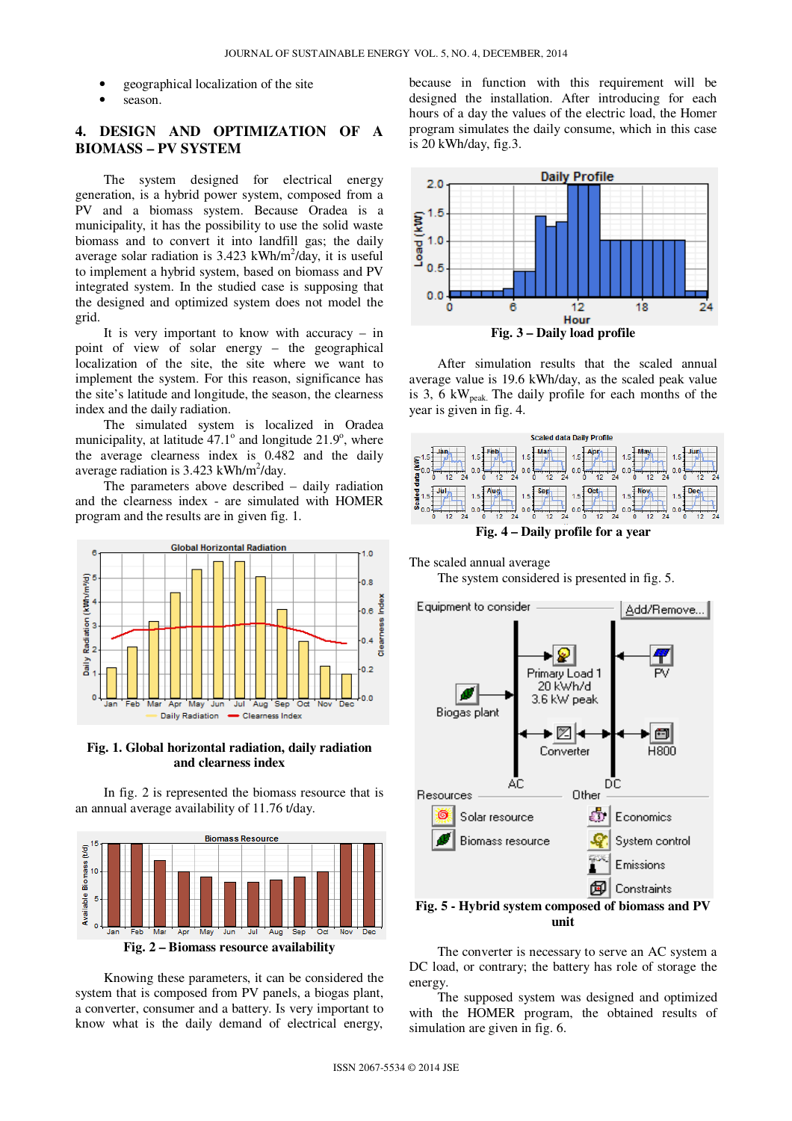- geographical localization of the site
- season.

# **4. DESIGN AND OPTIMIZATION OF A BIOMASS – PV SYSTEM**

The system designed for electrical energy generation, is a hybrid power system, composed from a PV and a biomass system. Because Oradea is a municipality, it has the possibility to use the solid waste biomass and to convert it into landfill gas; the daily average solar radiation is 3.423 kWh/m<sup>2</sup>/day, it is useful to implement a hybrid system, based on biomass and PV integrated system. In the studied case is supposing that the designed and optimized system does not model the grid.

It is very important to know with accuracy – in point of view of solar energy – the geographical localization of the site, the site where we want to implement the system. For this reason, significance has the site's latitude and longitude, the season, the clearness index and the daily radiation.

The simulated system is localized in Oradea municipality, at latitude  $47.1^\circ$  and longitude  $21.9^\circ$ , where the average clearness index is 0.482 and the daily average radiation is  $3.423$  kWh/m<sup>2</sup>/day.

The parameters above described – daily radiation and the clearness index - are simulated with HOMER program and the results are in given fig. 1.



**Fig. 1. Global horizontal radiation, daily radiation and clearness index** 

In fig. 2 is represented the biomass resource that is an annual average availability of 11.76 t/day.



**Fig. 2 – Biomass resource availability** 

Knowing these parameters, it can be considered the system that is composed from PV panels, a biogas plant, a converter, consumer and a battery. Is very important to know what is the daily demand of electrical energy,

because in function with this requirement will be designed the installation. After introducing for each hours of a day the values of the electric load, the Homer program simulates the daily consume, which in this case is 20 kWh/day, fig.3.



After simulation results that the scaled annual average value is 19.6 kWh/day, as the scaled peak value is 3, 6  $kW_{peak}$ . The daily profile for each months of the year is given in fig. 4.



**Fig. 4 – Daily profile for a year** 

The scaled annual average The system considered is presented in fig. 5.



The converter is necessary to serve an AC system a DC load, or contrary; the battery has role of storage the energy.

The supposed system was designed and optimized with the HOMER program, the obtained results of simulation are given in fig. 6.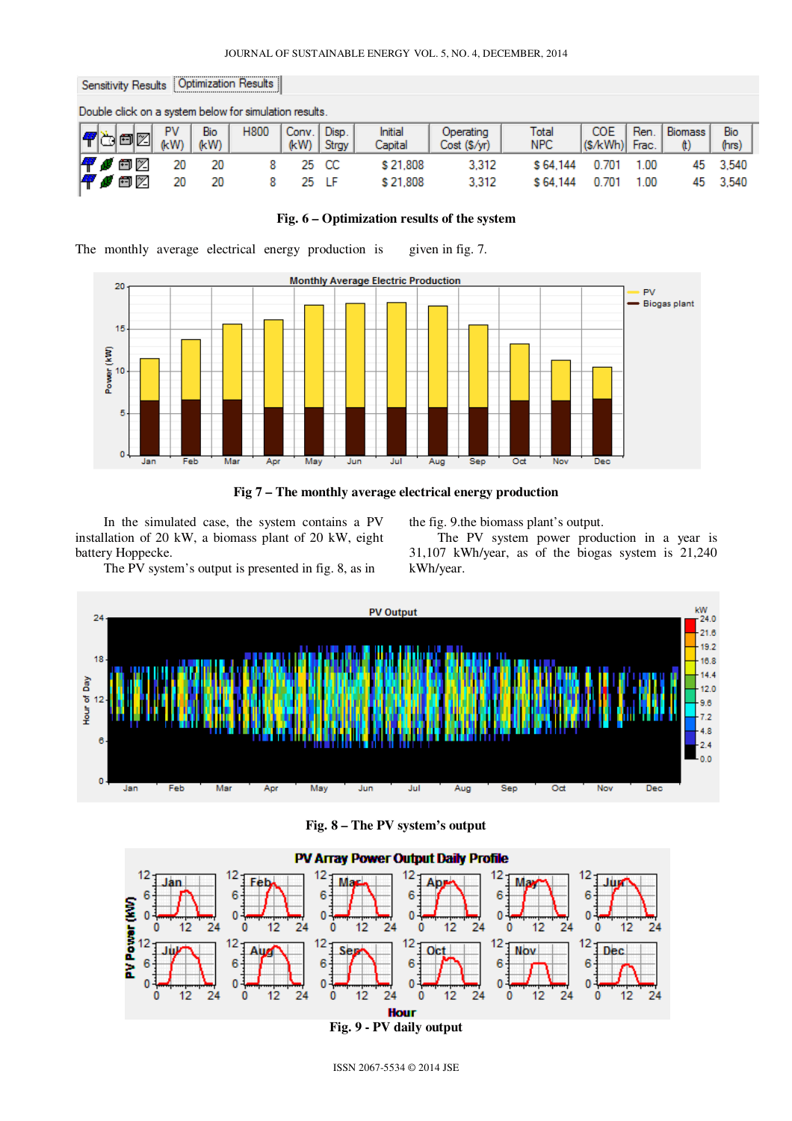| Sensitivity Results   Optimization Results |                                                        |            |             |             |               |                |                    |                           |               |                       |      |                      |              |  |
|--------------------------------------------|--------------------------------------------------------|------------|-------------|-------------|---------------|----------------|--------------------|---------------------------|---------------|-----------------------|------|----------------------|--------------|--|
|                                            | Double click on a system below for simulation results. |            |             |             |               |                |                    |                           |               |                       |      |                      |              |  |
|                                            | 4ö02                                                   | PV<br>(kW) | Bio<br>(kW) | <b>H800</b> | Conv.<br>(kW) | Disp.<br>Strgy | Initial<br>Capital | Operating<br>Cost (\$/yr) | Total<br>NPC. | COE<br>(\$/kWh) Frac. | Ren. | <b>Biomass</b><br>O) | Bio<br>(hrs) |  |
|                                            | Føoz                                                   | 20         | 20          |             |               | 25 CC          | \$21,808           | 3.312                     | \$64,144      | 0.701                 | 1.00 | 45                   | 3.540        |  |
|                                            | k ø oz                                                 | 20         | 20          |             | 25.           |                | \$21.808           | 3.312                     | \$64,144      | 0.701                 | 1.00 | 45                   | 3.540        |  |

## **Fig. 6 – Optimization results of the system**

The monthly average electrical energy production is given in fig. 7.





In the simulated case, the system contains a PV installation of 20 kW, a biomass plant of 20 kW, eight battery Hoppecke.

the fig. 9.the biomass plant's output.

The PV system power production in a year is 31,107 kWh/year, as of the biogas system is 21,240 kWh/year.

The PV system's output is presented in fig. 8, as in



**Fig. 8 – The PV system's output** 



ISSN 2067-5534 © 2014 JSE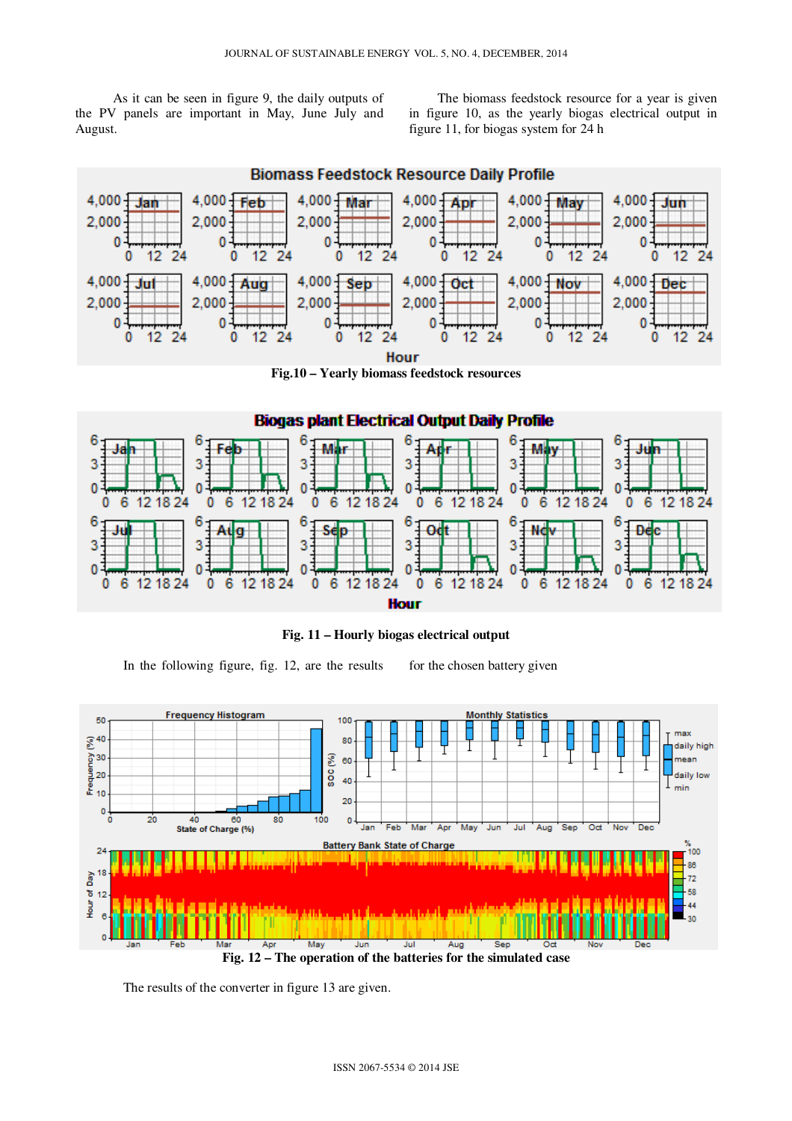As it can be seen in figure 9, the daily outputs of the PV panels are important in May, June July and August.

The biomass feedstock resource for a year is given in figure 10, as the yearly biogas electrical output in figure 11, for biogas system for 24 h

**Biomass Feedstock Resource Daily Profile** 



**Fig.10 – Yearly biomass feedstock resources** 



**Fig. 11 – Hourly biogas electrical output** 

In the following figure, fig.  $12$ , are the results for the chosen battery given



**Fig. 12 – The operation of the batteries for the simulated case** 

The results of the converter in figure 13 are given.